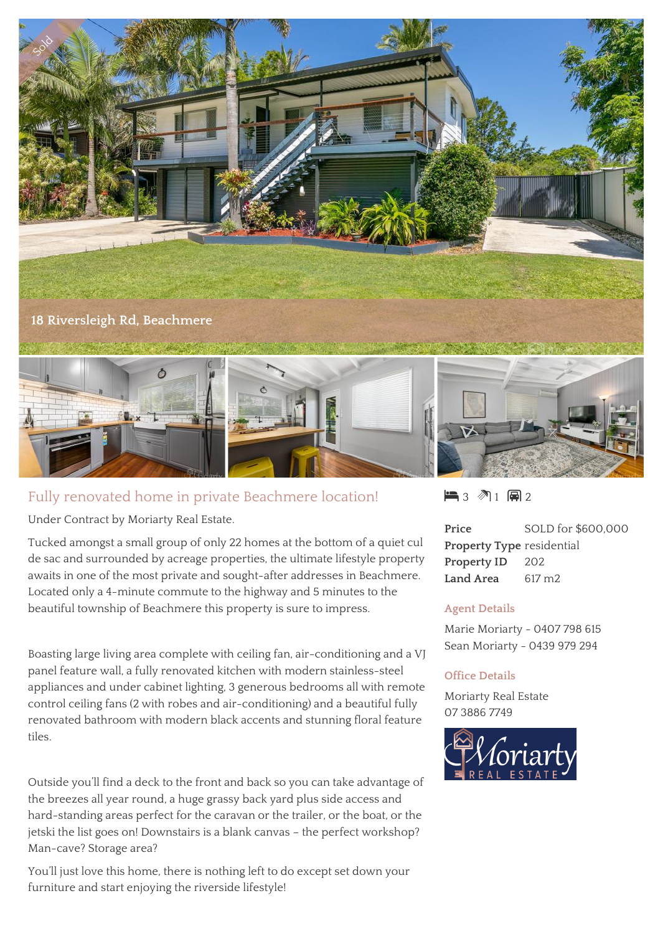

## Fully renovated home in private Beachmere location!

Under Contract by Moriarty Real Estate.

Tucked amongst a small group of only 22 homes at the bottom of a quiet cul de sac and surrounded by acreage properties, the ultimate lifestyle property awaits in one of the most private and sought-after addresses in Beachmere. Located only a 4-minute commute to the highway and 5 minutes to the beautiful township of Beachmere this property is sure to impress.

Boasting large living area complete with ceiling fan, air-conditioning and a VJ panel feature wall, a fully renovated kitchen with modern stainless-steel appliances and under cabinet lighting, 3 generous bedrooms all with remote control ceiling fans (2 with robes and air-conditioning) and a beautiful fully renovated bathroom with modern black accents and stunning floral feature tiles.

Outside you'll find a deck to the front and back so you can take advantage of the breezes all year round, a huge grassy back yard plus side access and hard-standing areas perfect for the caravan or the trailer, or the boat, or the jetski the list goes on! Downstairs is a blank canvas – the perfect workshop? Man-cave? Storage area?

You'll just love this home, there is nothing left to do except set down your furniture and start enjoying the riverside lifestyle!

 $\blacksquare$  3  $\blacksquare$  1  $\blacksquare$  2

**Price** SOLD for \$600,000 **Property Type** residential **Property ID** 202 **Land Area** 617 m2

## **Agent Details**

Marie Moriarty - 0407 798 615 Sean Moriarty - 0439 979 294

## **Office Details**

Moriarty Real Estate 07 3886 7749